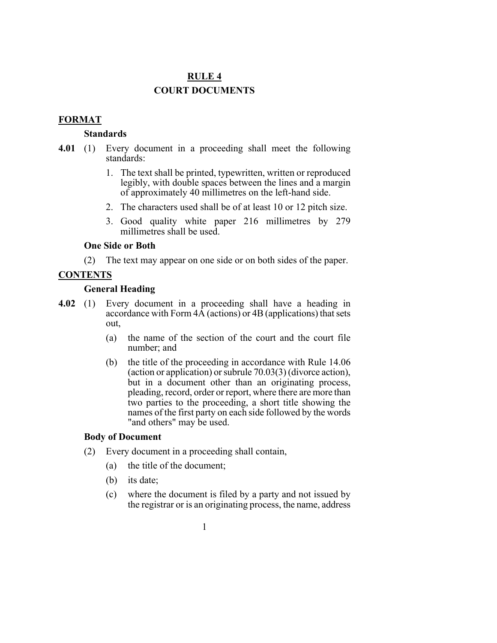# **RULE 4 COURT DOCUMENTS**

# **FORMAT**

### **Standards**

- **4.01** (1) Every document in a proceeding shall meet the following standards:
	- 1. The text shall be printed, typewritten, written or reproduced legibly, with double spaces between the lines and a margin of approximately 40 millimetres on the left-hand side.
	- 2. The characters used shall be of at least 10 or 12 pitch size.
	- 3. Good quality white paper 216 millimetres by 279 millimetres shall be used.

# **One Side or Both**

(2) The text may appear on one side or on both sides of the paper.

# **CONTENTS**

### **General Heading**

- **4.02** (1) Every document in a proceeding shall have a heading in accordance with Form  $4\overline{A}$  (actions) or  $4\overline{B}$  (applications) that sets out,
	- (a) the name of the section of the court and the court file number; and
	- (b) the title of the proceeding in accordance with Rule 14.06 (action or application) or subrule 70.03(3) (divorce action), but in a document other than an originating process, pleading, record, order or report, where there are more than two parties to the proceeding, a short title showing the names of the first party on each side followed by the words "and others" may be used.

### **Body of Document**

- (2) Every document in a proceeding shall contain,
	- (a) the title of the document;
	- (b) its date;
	- (c) where the document is filed by a party and not issued by the registrar or is an originating process, the name, address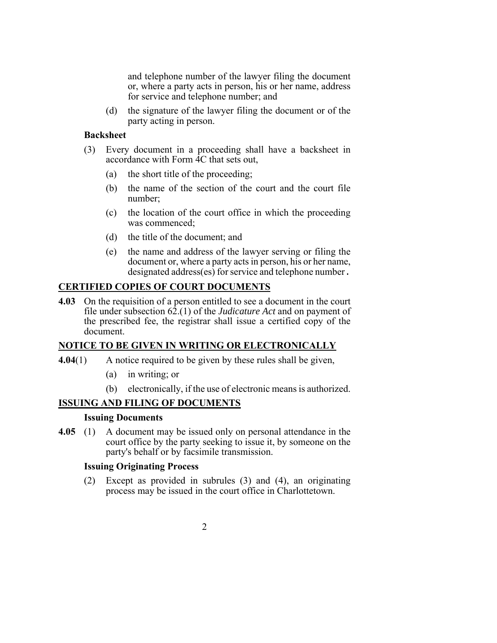and telephone number of the lawyer filing the document or, where a party acts in person, his or her name, address for service and telephone number; and

(d) the signature of the lawyer filing the document or of the party acting in person.

### **Backsheet**

- (3) Every document in a proceeding shall have a backsheet in accordance with Form 4C that sets out,
	- (a) the short title of the proceeding;
	- (b) the name of the section of the court and the court file number;
	- (c) the location of the court office in which the proceeding was commenced;
	- (d) the title of the document; and
	- (e) the name and address of the lawyer serving or filing the document or, where a party acts in person, his or her name, designated address(es) for service and telephone number.

# **CERTIFIED COPIES OF COURT DOCUMENTS**

**4.03** On the requisition of a person entitled to see a document in the court file under subsection 62.(1) of the *Judicature Act* and on payment of the prescribed fee, the registrar shall issue a certified copy of the document.

# **NOTICE TO BE GIVEN IN WRITING OR ELECTRONICALLY**

- **4.04**(1) A notice required to be given by these rules shall be given,
	- (a) in writing; or
	- (b) electronically, if the use of electronic means is authorized.

# **ISSUING AND FILING OF DOCUMENTS**

#### **Issuing Documents**

**4.05** (1) A document may be issued only on personal attendance in the court office by the party seeking to issue it, by someone on the party's behalf or by facsimile transmission.

# **Issuing Originating Process**

(2) Except as provided in subrules (3) and (4), an originating process may be issued in the court office in Charlottetown.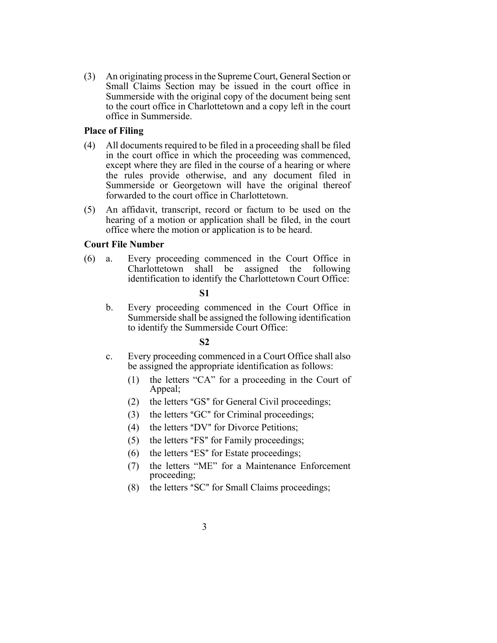(3) An originating process in the Supreme Court, General Section or Small Claims Section may be issued in the court office in Summerside with the original copy of the document being sent to the court office in Charlottetown and a copy left in the court office in Summerside.

### **Place of Filing**

- (4) All documents required to be filed in a proceeding shall be filed in the court office in which the proceeding was commenced, except where they are filed in the course of a hearing or where the rules provide otherwise, and any document filed in Summerside or Georgetown will have the original thereof forwarded to the court office in Charlottetown.
- (5) An affidavit, transcript, record or factum to be used on the hearing of a motion or application shall be filed, in the court office where the motion or application is to be heard.

#### **Court File Number**

(6) a. Every proceeding commenced in the Court Office in Charlottetown shall be assigned the following identification to identify the Charlottetown Court Office:

#### **S1**

b. Every proceeding commenced in the Court Office in Summerside shall be assigned the following identification to identify the Summerside Court Office:

### **S2**

- c. Every proceeding commenced in a Court Office shall also be assigned the appropriate identification as follows:
	- (1) the letters "CA" for a proceeding in the Court of Appeal;
	- (2) the letters "GS" for General Civil proceedings;
	- (3) the letters "GC" for Criminal proceedings;
	- (4) the letters "DV" for Divorce Petitions;
	- $(5)$  the letters "FS" for Family proceedings;
	- $(6)$  the letters "ES" for Estate proceedings;
	- (7) the letters "ME" for a Maintenance Enforcement proceeding;
	- $(8)$  the letters "SC" for Small Claims proceedings;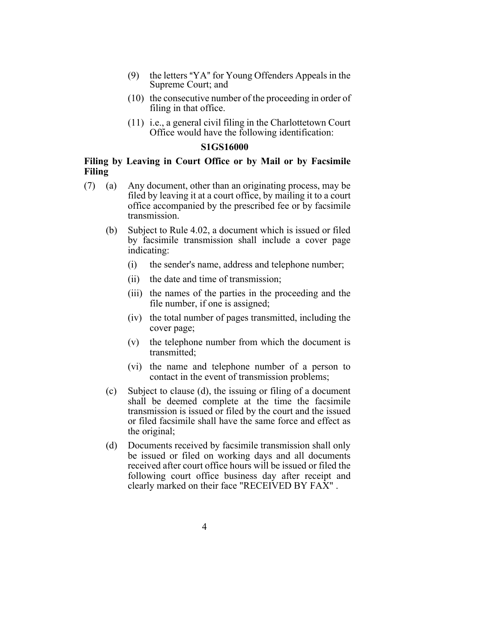- (9) the letters "YA" for Young Offenders Appeals in the Supreme Court; and
- (10) the consecutive number of the proceeding in order of filing in that office.
- (11) i.e., a general civil filing in the Charlottetown Court Office would have the following identification:

### **S1GS16000**

# **Filing by Leaving in Court Office or by Mail or by Facsimile Filing**

- (7) (a) Any document, other than an originating process, may be filed by leaving it at a court office, by mailing it to a court office accompanied by the prescribed fee or by facsimile transmission.
	- (b) Subject to Rule 4.02, a document which is issued or filed by facsimile transmission shall include a cover page indicating:
		- (i) the sender's name, address and telephone number;
		- (ii) the date and time of transmission;
		- (iii) the names of the parties in the proceeding and the file number, if one is assigned;
		- (iv) the total number of pages transmitted, including the cover page;
		- (v) the telephone number from which the document is transmitted;
		- (vi) the name and telephone number of a person to contact in the event of transmission problems;
	- (c) Subject to clause (d), the issuing or filing of a document shall be deemed complete at the time the facsimile transmission is issued or filed by the court and the issued or filed facsimile shall have the same force and effect as the original;
	- (d) Documents received by facsimile transmission shall only be issued or filed on working days and all documents received after court office hours will be issued or filed the following court office business day after receipt and clearly marked on their face "RECEIVED BY FAX" .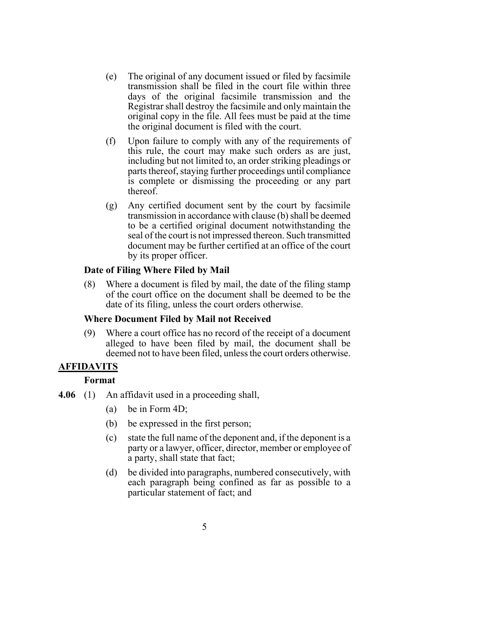- (e) The original of any document issued or filed by facsimile transmission shall be filed in the court file within three days of the original facsimile transmission and the Registrar shall destroy the facsimile and only maintain the original copy in the file. All fees must be paid at the time the original document is filed with the court.
- (f) Upon failure to comply with any of the requirements of this rule, the court may make such orders as are just, including but not limited to, an order striking pleadings or parts thereof, staying further proceedings until compliance is complete or dismissing the proceeding or any part thereof.
- (g) Any certified document sent by the court by facsimile transmission in accordance with clause (b) shall be deemed to be a certified original document notwithstanding the seal of the court is not impressed thereon. Such transmitted document may be further certified at an office of the court by its proper officer.

# **Date of Filing Where Filed by Mail**

(8) Where a document is filed by mail, the date of the filing stamp of the court office on the document shall be deemed to be the date of its filing, unless the court orders otherwise.

# **Where Document Filed by Mail not Received**

(9) Where a court office has no record of the receipt of a document alleged to have been filed by mail, the document shall be deemed not to have been filed, unless the court orders otherwise.

# **AFFIDAVITS**

# **Format**

- **4.06** (1) An affidavit used in a proceeding shall,
	- (a) be in Form 4D;
	- (b) be expressed in the first person;
	- (c) state the full name of the deponent and, if the deponent is a party or a lawyer, officer, director, member or employee of a party, shall state that fact;
	- (d) be divided into paragraphs, numbered consecutively, with each paragraph being confined as far as possible to a particular statement of fact; and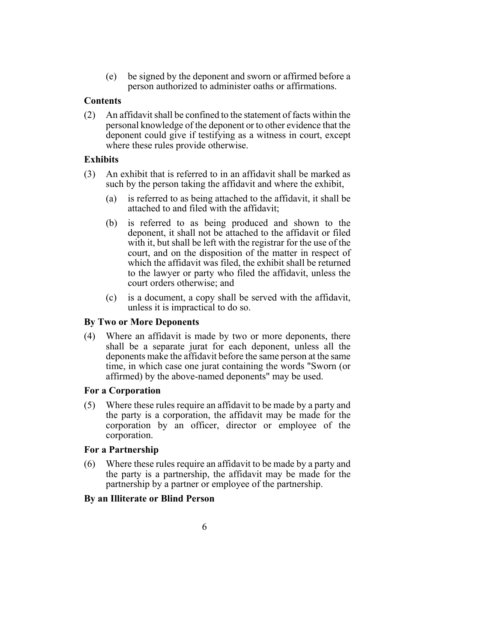(e) be signed by the deponent and sworn or affirmed before a person authorized to administer oaths or affirmations.

# **Contents**

(2) An affidavit shall be confined to the statement of facts within the personal knowledge of the deponent or to other evidence that the deponent could give if testifying as a witness in court, except where these rules provide otherwise.

# **Exhibits**

- (3) An exhibit that is referred to in an affidavit shall be marked as such by the person taking the affidavit and where the exhibit,
	- (a) is referred to as being attached to the affidavit, it shall be attached to and filed with the affidavit;
	- (b) is referred to as being produced and shown to the deponent, it shall not be attached to the affidavit or filed with it, but shall be left with the registrar for the use of the court, and on the disposition of the matter in respect of which the affidavit was filed, the exhibit shall be returned to the lawyer or party who filed the affidavit, unless the court orders otherwise; and
	- (c) is a document, a copy shall be served with the affidavit, unless it is impractical to do so.

# **By Two or More Deponents**

(4) Where an affidavit is made by two or more deponents, there shall be a separate jurat for each deponent, unless all the deponents make the affidavit before the same person at the same time, in which case one jurat containing the words "Sworn (or affirmed) by the above-named deponents" may be used.

# **For a Corporation**

(5) Where these rules require an affidavit to be made by a party and the party is a corporation, the affidavit may be made for the corporation by an officer, director or employee of the corporation.

# **For a Partnership**

(6) Where these rules require an affidavit to be made by a party and the party is a partnership, the affidavit may be made for the partnership by a partner or employee of the partnership.

# **By an Illiterate or Blind Person**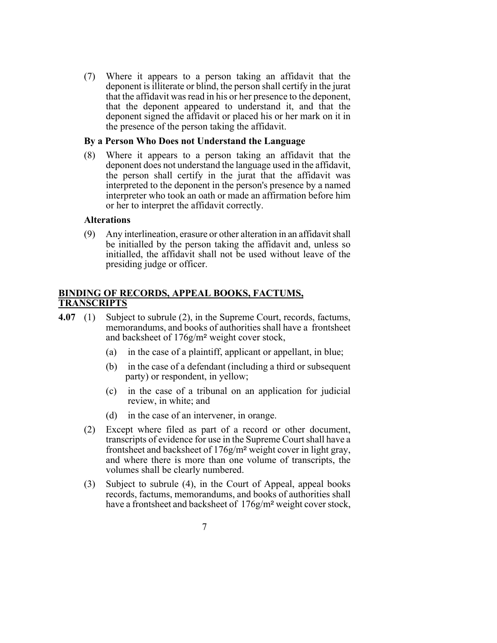(7) Where it appears to a person taking an affidavit that the deponent is illiterate or blind, the person shall certify in the jurat that the affidavit was read in his or her presence to the deponent, that the deponent appeared to understand it, and that the deponent signed the affidavit or placed his or her mark on it in the presence of the person taking the affidavit.

#### **By a Person Who Does not Understand the Language**

(8) Where it appears to a person taking an affidavit that the deponent does not understand the language used in the affidavit, the person shall certify in the jurat that the affidavit was interpreted to the deponent in the person's presence by a named interpreter who took an oath or made an affirmation before him or her to interpret the affidavit correctly.

### **Alterations**

(9) Any interlineation, erasure or other alteration in an affidavit shall be initialled by the person taking the affidavit and, unless so initialled, the affidavit shall not be used without leave of the presiding judge or officer.

# **BINDING OF RECORDS, APPEAL BOOKS, FACTUMS, TRANSCRIPTS**

- **4.07** (1) Subject to subrule (2), in the Supreme Court, records, factums, memorandums, and books of authorities shall have a frontsheet and backsheet of 176g/m<sup>2</sup> weight cover stock,
	- (a) in the case of a plaintiff, applicant or appellant, in blue;
	- (b) in the case of a defendant (including a third or subsequent party) or respondent, in yellow;
	- (c) in the case of a tribunal on an application for judicial review, in white; and
	- (d) in the case of an intervener, in orange.
	- (2) Except where filed as part of a record or other document, transcripts of evidence for use in the Supreme Court shall have a frontsheet and backsheet of  $176g/m^2$  weight cover in light gray, and where there is more than one volume of transcripts, the volumes shall be clearly numbered.
	- (3) Subject to subrule (4), in the Court of Appeal, appeal books records, factums, memorandums, and books of authorities shall have a frontsheet and backsheet of 176g/m<sup>2</sup> weight cover stock,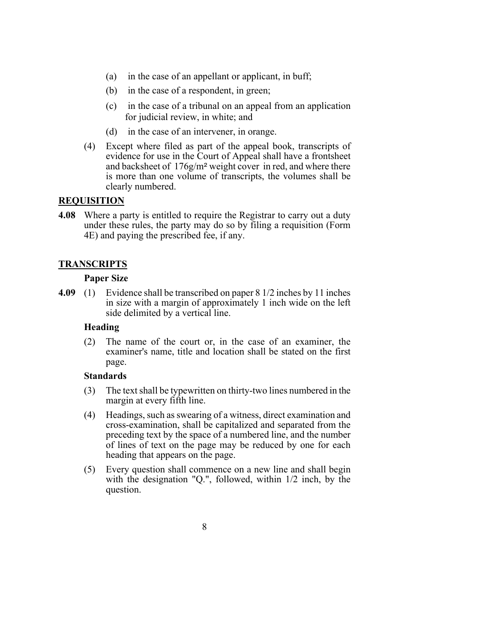- (a) in the case of an appellant or applicant, in buff;
- (b) in the case of a respondent, in green;
- (c) in the case of a tribunal on an appeal from an application for judicial review, in white; and
- (d) in the case of an intervener, in orange.
- (4) Except where filed as part of the appeal book, transcripts of evidence for use in the Court of Appeal shall have a frontsheet and backsheet of  $176g/m^2$  weight cover in red, and where there is more than one volume of transcripts, the volumes shall be clearly numbered.

### **REQUISITION**

**4.08** Where a party is entitled to require the Registrar to carry out a duty under these rules, the party may do so by filing a requisition (Form 4E) and paying the prescribed fee, if any.

### **TRANSCRIPTS**

# **Paper Size**

**4.09** (1) Evidence shall be transcribed on paper 8 1/2 inches by 11 inches in size with a margin of approximately 1 inch wide on the left side delimited by a vertical line.

# **Heading**

(2) The name of the court or, in the case of an examiner, the examiner's name, title and location shall be stated on the first page.

# **Standards**

- (3) The text shall be typewritten on thirty-two lines numbered in the margin at every fifth line.
- (4) Headings, such as swearing of a witness, direct examination and cross-examination, shall be capitalized and separated from the preceding text by the space of a numbered line, and the number of lines of text on the page may be reduced by one for each heading that appears on the page.
- (5) Every question shall commence on a new line and shall begin with the designation "Q.", followed, within 1/2 inch, by the question.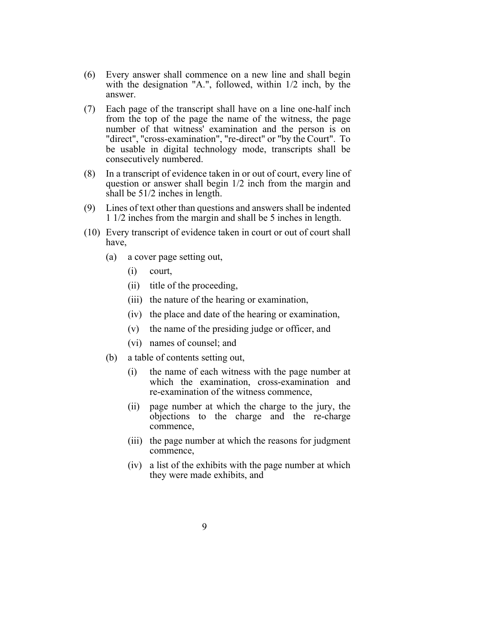- (6) Every answer shall commence on a new line and shall begin with the designation "A.", followed, within 1/2 inch, by the answer.
- (7) Each page of the transcript shall have on a line one-half inch from the top of the page the name of the witness, the page number of that witness' examination and the person is on "direct", "cross-examination", "re-direct" or "by the Court". To be usable in digital technology mode, transcripts shall be consecutively numbered.
- (8) In a transcript of evidence taken in or out of court, every line of question or answer shall begin 1/2 inch from the margin and shall be 51/2 inches in length.
- (9) Lines of text other than questions and answers shall be indented 1 1/2 inches from the margin and shall be 5 inches in length.
- (10) Every transcript of evidence taken in court or out of court shall have,
	- (a) a cover page setting out,
		- (i) court,
		- (ii) title of the proceeding,
		- (iii) the nature of the hearing or examination,
		- (iv) the place and date of the hearing or examination,
		- (v) the name of the presiding judge or officer, and
		- (vi) names of counsel; and
	- (b) a table of contents setting out,
		- (i) the name of each witness with the page number at which the examination, cross-examination and re-examination of the witness commence,
		- (ii) page number at which the charge to the jury, the objections to the charge and the re-charge commence,
		- (iii) the page number at which the reasons for judgment commence,
		- (iv) a list of the exhibits with the page number at which they were made exhibits, and